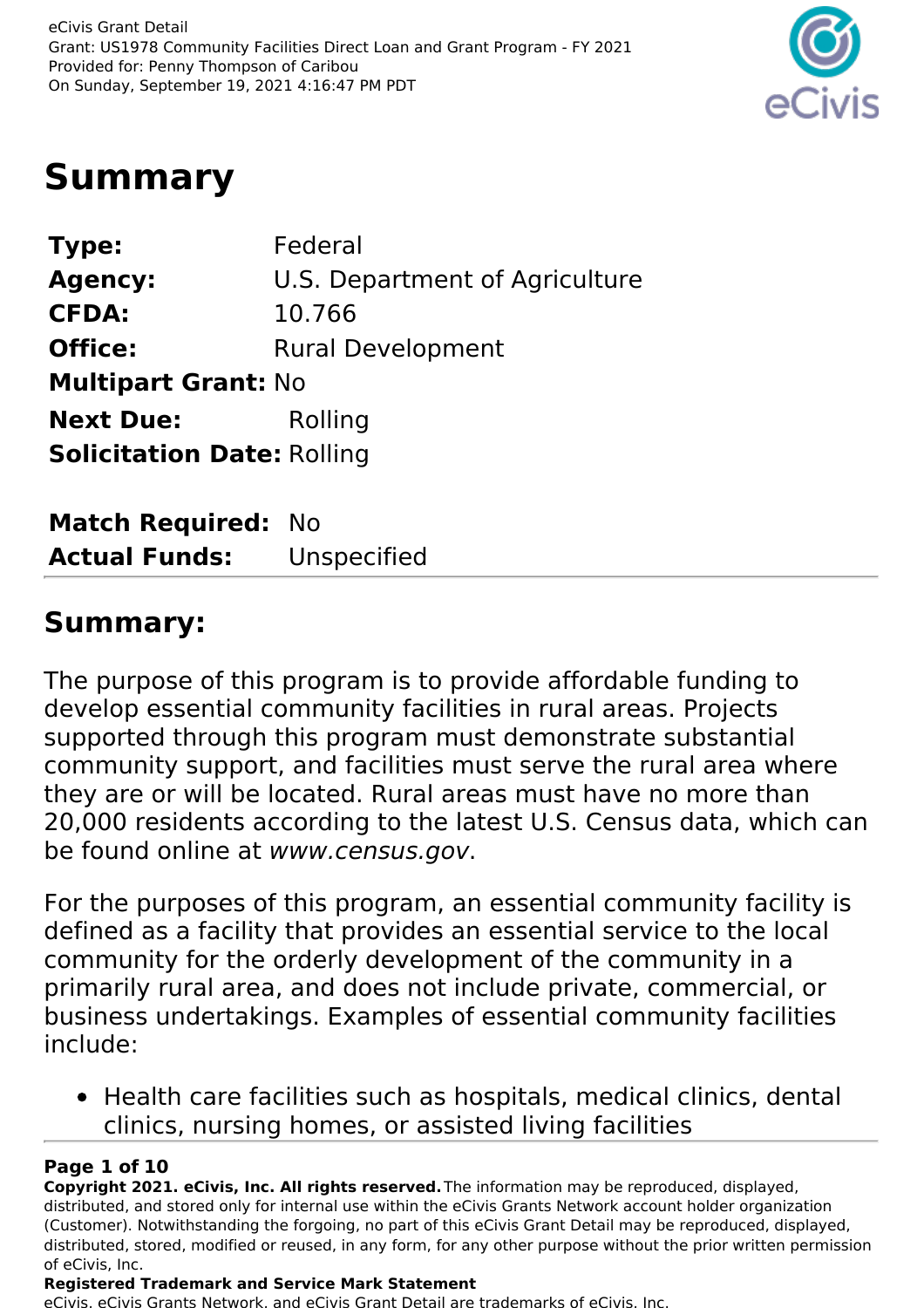

## **Summary**

| Type:                             | Federal                        |
|-----------------------------------|--------------------------------|
| <b>Agency:</b>                    | U.S. Department of Agriculture |
| <b>CFDA:</b>                      | 10.766                         |
| <b>Office:</b>                    | <b>Rural Development</b>       |
| <b>Multipart Grant: No</b>        |                                |
| <b>Next Due:</b>                  | Rolling                        |
| <b>Solicitation Date: Rolling</b> |                                |
|                                   |                                |

| <b>Match Required: No</b> |             |
|---------------------------|-------------|
| <b>Actual Funds:</b>      | Unspecified |

### **Summary:**

The purpose of this program is to provide affordable funding to develop essential community facilities in rural areas. Projects supported through this program must demonstrate substantial community support, and facilities must serve the rural area where they are or will be located. Rural areas must have no more than 20,000 residents according to the latest U.S. Census data, which can be found online at www.census.gov.

For the purposes of this program, an essential community facility is defined as a facility that provides an essential service to the local community for the orderly development of the community in a primarily rural area, and does not include private, commercial, or business undertakings. Examples of essential community facilities include:

• Health care facilities such as hospitals, medical clinics, dental clinics, nursing homes, or assisted living facilities

#### **Page 1 of 10**

**Copyright 2021. eCivis, Inc. All rights reserved.**The information may be reproduced, displayed, distributed, and stored only for internal use within the eCivis Grants Network account holder organization (Customer). Notwithstanding the forgoing, no part of this eCivis Grant Detail may be reproduced, displayed, distributed, stored, modified or reused, in any form, for any other purpose without the prior written permission of eCivis, Inc.

#### **Registered Trademark and Service Mark Statement**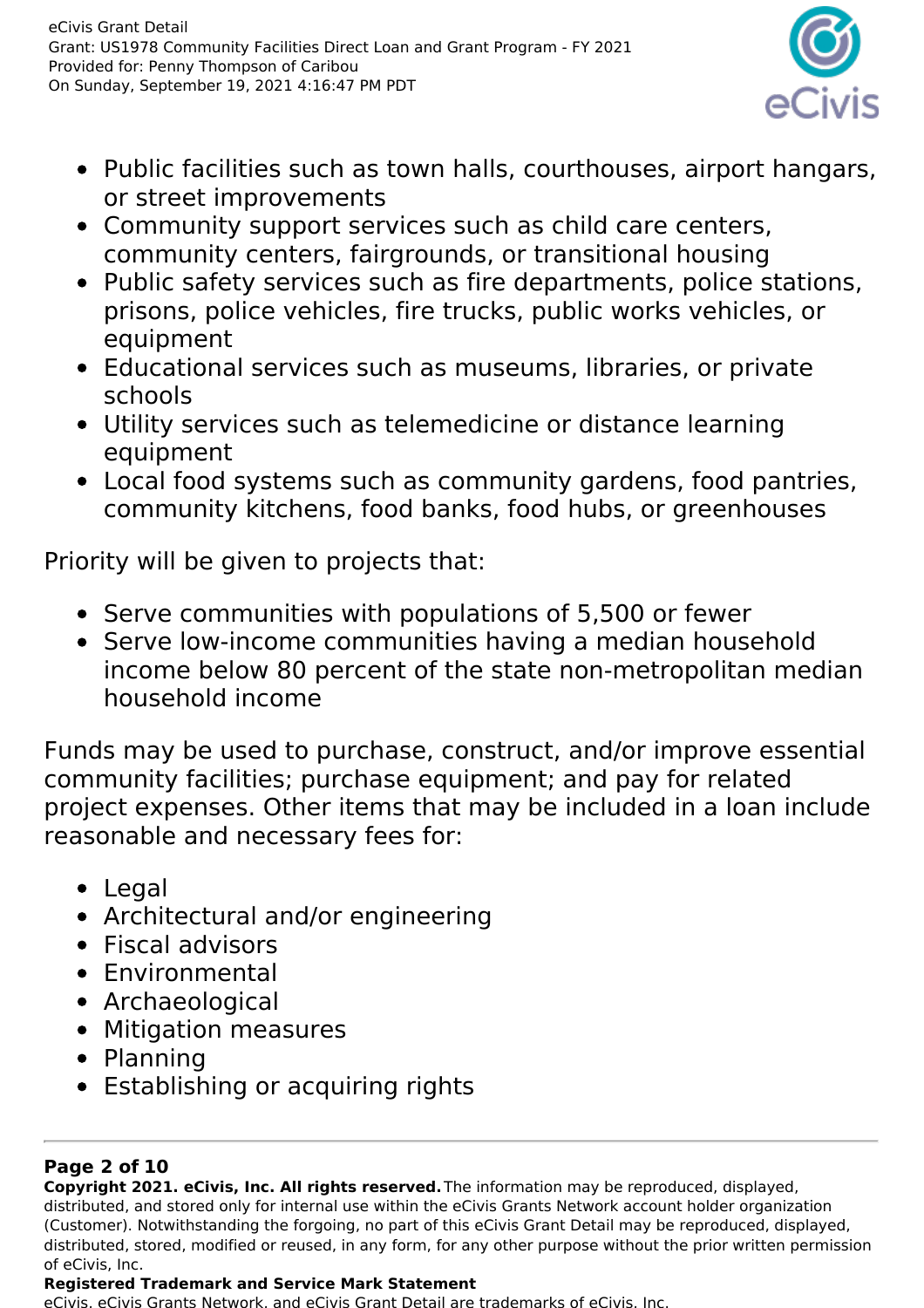

- Public facilities such as town halls, courthouses, airport hangars, or street improvements
- Community support services such as child care centers, community centers, fairgrounds, or transitional housing
- Public safety services such as fire departments, police stations, prisons, police vehicles, fire trucks, public works vehicles, or equipment
- Educational services such as museums, libraries, or private schools
- Utility services such as telemedicine or distance learning equipment
- Local food systems such as community gardens, food pantries, community kitchens, food banks, food hubs, or greenhouses

Priority will be given to projects that:

- Serve communities with populations of 5,500 or fewer
- Serve low-income communities having a median household income below 80 percent of the state non-metropolitan median household income

Funds may be used to purchase, construct, and/or improve essential community facilities; purchase equipment; and pay for related project expenses. Other items that may be included in a loan include reasonable and necessary fees for:

- Legal
- Architectural and/or engineering
- Fiscal advisors
- Environmental
- Archaeological
- Mitigation measures
- Planning
- Establishing or acquiring rights

#### **Page 2 of 10**

**Copyright 2021. eCivis, Inc. All rights reserved.**The information may be reproduced, displayed, distributed, and stored only for internal use within the eCivis Grants Network account holder organization (Customer). Notwithstanding the forgoing, no part of this eCivis Grant Detail may be reproduced, displayed, distributed, stored, modified or reused, in any form, for any other purpose without the prior written permission of eCivis, Inc.

#### **Registered Trademark and Service Mark Statement**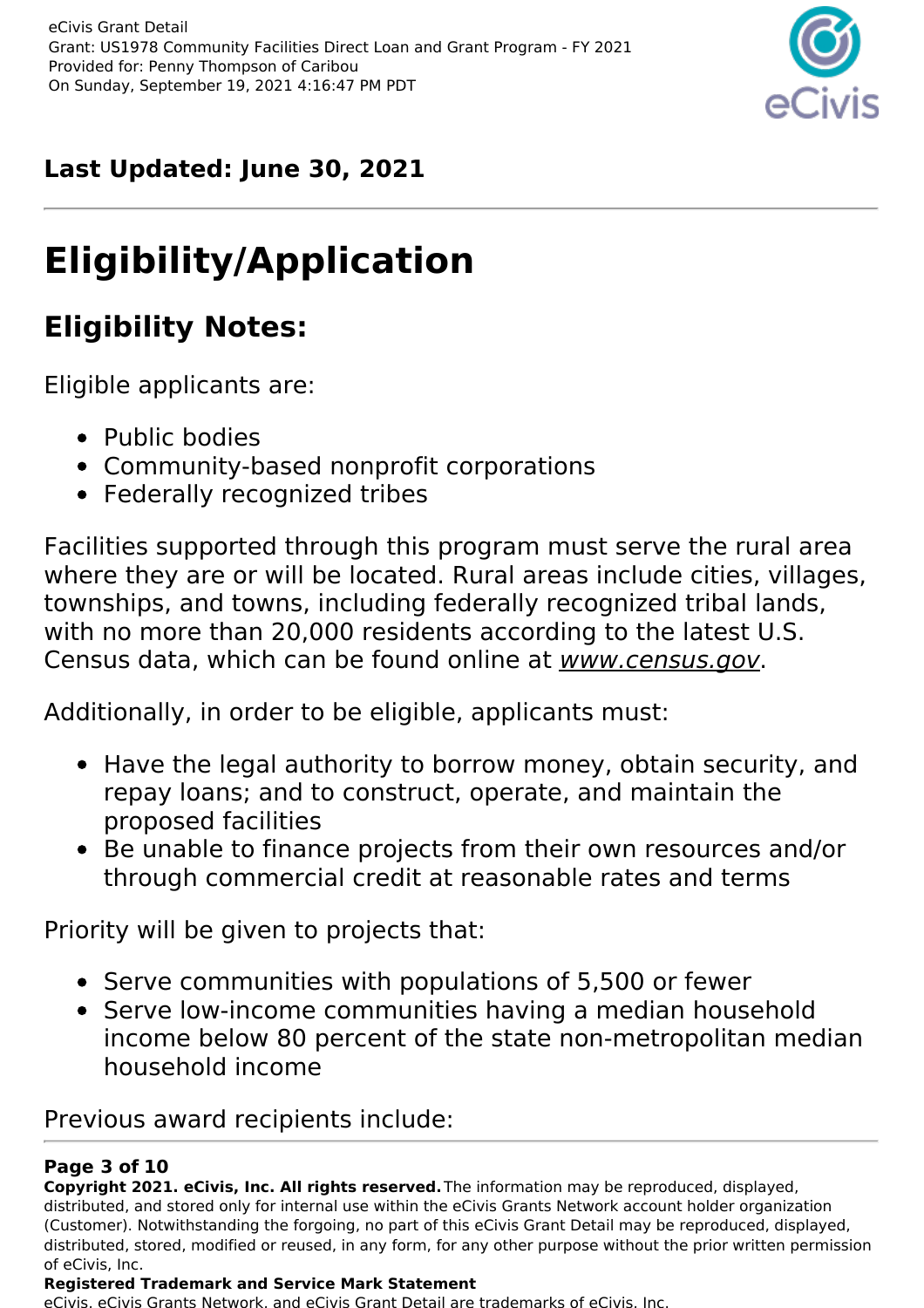

### **Last Updated: June 30, 2021**

# **Eligibility/Application**

## **Eligibility Notes:**

Eligible applicants are:

- Public bodies
- Community-based nonprofit corporations
- Federally recognized tribes

Facilities supported through this program must serve the rural area where they are or will be located. Rural areas include cities, villages, townships, and towns, including federally recognized tribal lands, with no more than 20,000 residents according to the latest U.S. Census data, which can be found online at www.census.gov.

Additionally, in order to be eligible, applicants must:

- Have the legal authority to borrow money, obtain security, and repay loans; and to construct, operate, and maintain the proposed facilities
- Be unable to finance projects from their own resources and/or through commercial credit at reasonable rates and terms

Priority will be given to projects that:

- Serve communities with populations of 5,500 or fewer
- Serve low-income communities having a median household income below 80 percent of the state non-metropolitan median household income

Previous award recipients include:

#### **Page 3 of 10**

**Copyright 2021. eCivis, Inc. All rights reserved.**The information may be reproduced, displayed, distributed, and stored only for internal use within the eCivis Grants Network account holder organization (Customer). Notwithstanding the forgoing, no part of this eCivis Grant Detail may be reproduced, displayed, distributed, stored, modified or reused, in any form, for any other purpose without the prior written permission of eCivis, Inc.

#### **Registered Trademark and Service Mark Statement**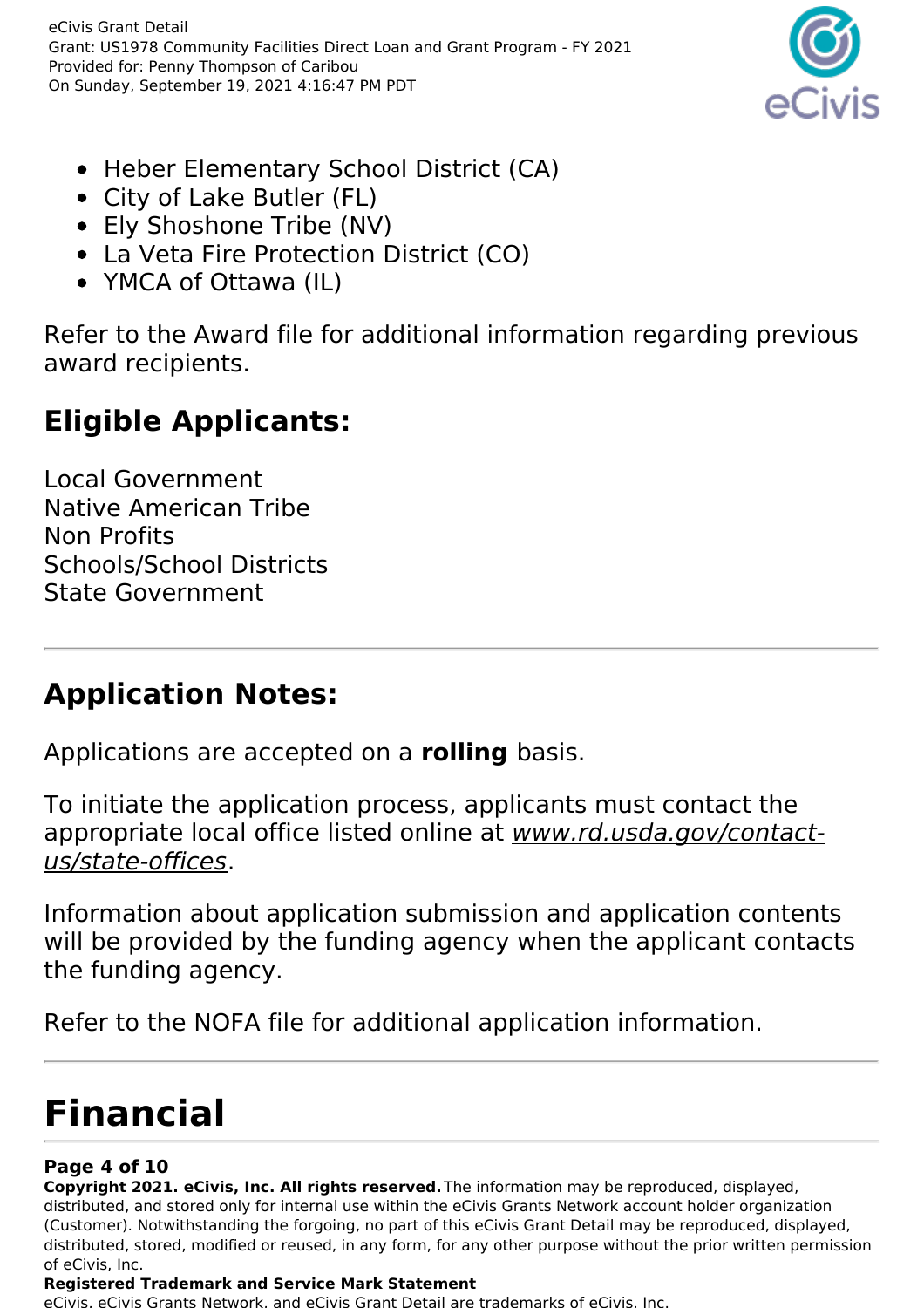eCivis Grant Detail Grant: US1978 Community Facilities Direct Loan and Grant Program - FY 2021 Provided for: Penny Thompson of Caribou On Sunday, September 19, 2021 4:16:47 PM PDT



- Heber Elementary School District (CA)
- City of Lake Butler (FL)
- Ely Shoshone Tribe (NV)
- La Veta Fire Protection District (CO)
- YMCA of Ottawa (IL)

Refer to the Award file for additional information regarding previous award recipients.

### **Eligible Applicants:**

Local Government Native American Tribe Non Profits Schools/School Districts State Government

### **Application Notes:**

Applications are accepted on a **rolling** basis.

To initiate the application process, applicants must contact the appropriate local office listed online at www.rd.usda.gov/contactus/state-offices.

Information about application submission and application contents will be provided by the funding agency when the applicant contacts the funding agency.

Refer to the NOFA file for additional application information.

# **Financial**

#### **Page 4 of 10**

**Copyright 2021. eCivis, Inc. All rights reserved.**The information may be reproduced, displayed, distributed, and stored only for internal use within the eCivis Grants Network account holder organization (Customer). Notwithstanding the forgoing, no part of this eCivis Grant Detail may be reproduced, displayed, distributed, stored, modified or reused, in any form, for any other purpose without the prior written permission of eCivis, Inc.

#### **Registered Trademark and Service Mark Statement**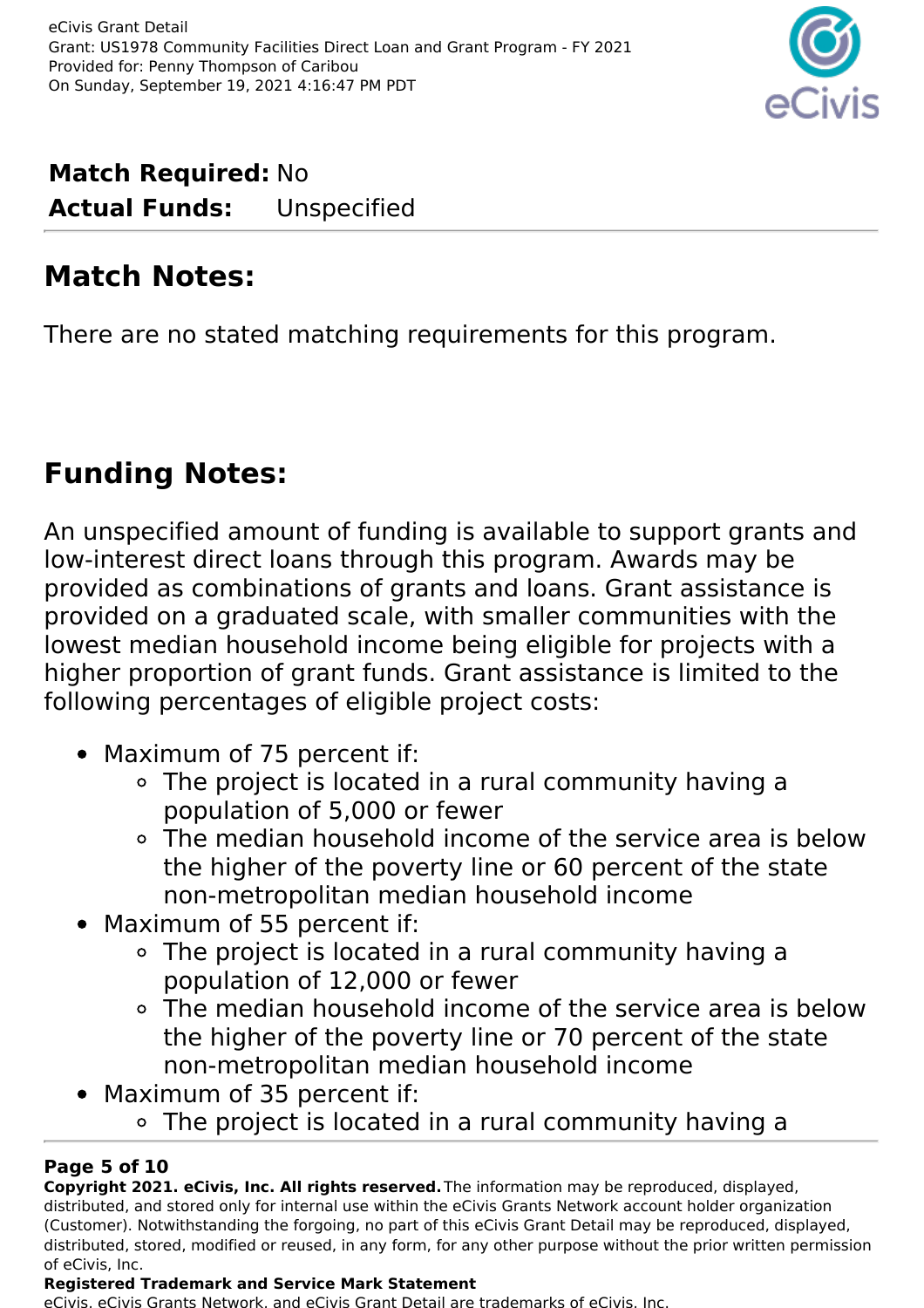

**Match Required:** No **Actual Funds:** Unspecified

### **Match Notes:**

There are no stated matching requirements for this program.

### **Funding Notes:**

An unspecified amount of funding is available to support grants and low-interest direct loans through this program. Awards may be provided as combinations of grants and loans. Grant assistance is provided on a graduated scale, with smaller communities with the lowest median household income being eligible for projects with a higher proportion of grant funds. Grant assistance is limited to the following percentages of eligible project costs:

- Maximum of 75 percent if:
	- The project is located in a rural community having a population of 5,000 or fewer
	- The median household income of the service area is below the higher of the poverty line or 60 percent of the state non-metropolitan median household income
- Maximum of 55 percent if:
	- The project is located in a rural community having a population of 12,000 or fewer
	- The median household income of the service area is below the higher of the poverty line or 70 percent of the state non-metropolitan median household income
- Maximum of 35 percent if:
	- The project is located in a rural community having a

#### **Page 5 of 10**

**Copyright 2021. eCivis, Inc. All rights reserved.**The information may be reproduced, displayed, distributed, and stored only for internal use within the eCivis Grants Network account holder organization (Customer). Notwithstanding the forgoing, no part of this eCivis Grant Detail may be reproduced, displayed, distributed, stored, modified or reused, in any form, for any other purpose without the prior written permission of eCivis, Inc.

#### **Registered Trademark and Service Mark Statement**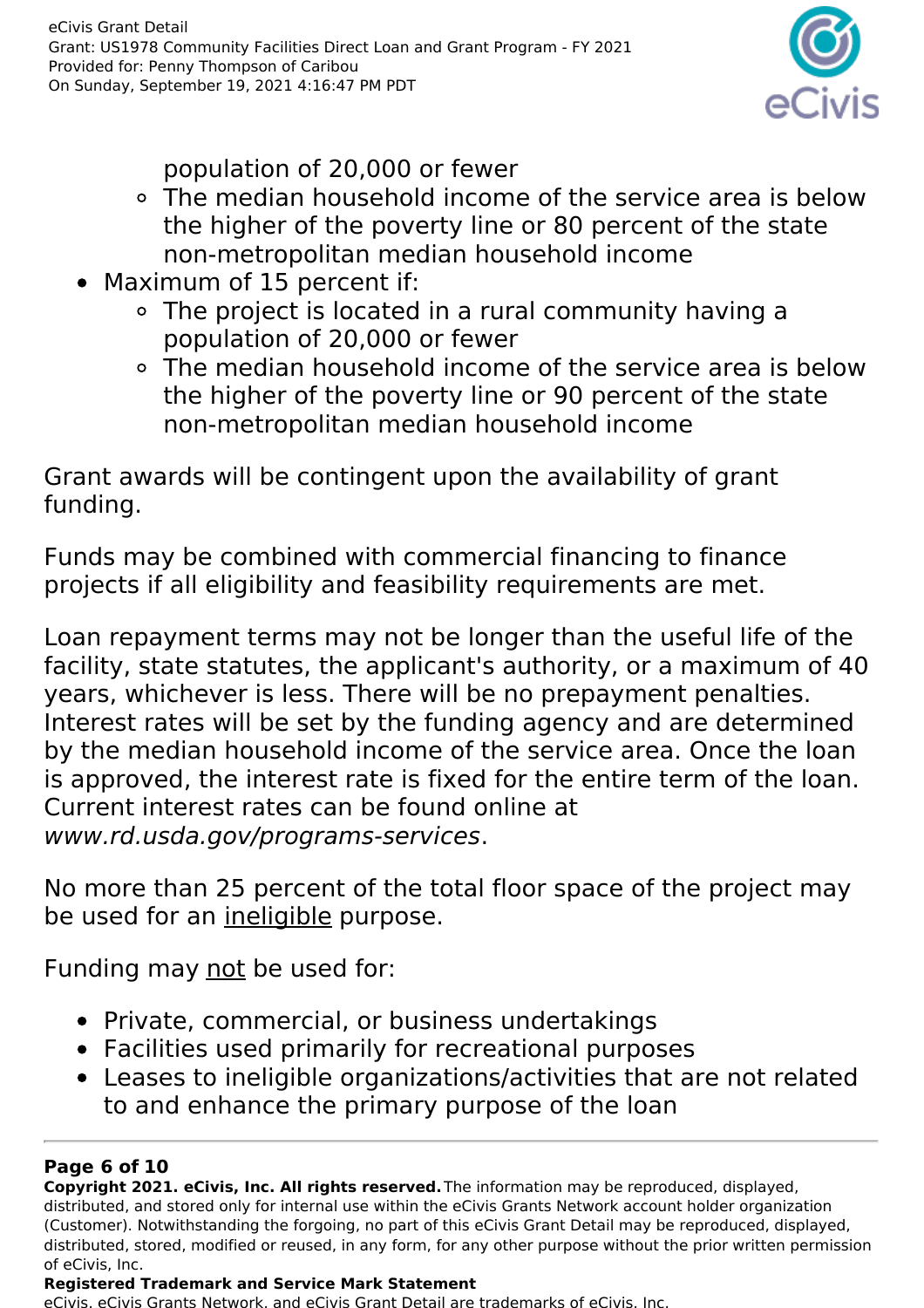

population of 20,000 or fewer

- The median household income of the service area is below the higher of the poverty line or 80 percent of the state non-metropolitan median household income
- Maximum of 15 percent if:
	- The project is located in a rural community having a population of 20,000 or fewer
	- The median household income of the service area is below the higher of the poverty line or 90 percent of the state non-metropolitan median household income

Grant awards will be contingent upon the availability of grant funding.

Funds may be combined with commercial financing to finance projects if all eligibility and feasibility requirements are met.

Loan repayment terms may not be longer than the useful life of the facility, state statutes, the applicant's authority, or a maximum of 40 years, whichever is less. There will be no prepayment penalties. Interest rates will be set by the funding agency and are determined by the median household income of the service area. Once the loan is approved, the interest rate is fixed for the entire term of the loan. Current interest rates can be found online at www.rd.usda.gov/programs-services.

No more than 25 percent of the total floor space of the project may be used for an ineligible purpose.

Funding may not be used for:

- Private, commercial, or business undertakings
- Facilities used primarily for recreational purposes
- Leases to ineligible organizations/activities that are not related to and enhance the primary purpose of the loan

#### **Page 6 of 10**

**Copyright 2021. eCivis, Inc. All rights reserved.**The information may be reproduced, displayed, distributed, and stored only for internal use within the eCivis Grants Network account holder organization (Customer). Notwithstanding the forgoing, no part of this eCivis Grant Detail may be reproduced, displayed, distributed, stored, modified or reused, in any form, for any other purpose without the prior written permission of eCivis, Inc.

#### **Registered Trademark and Service Mark Statement**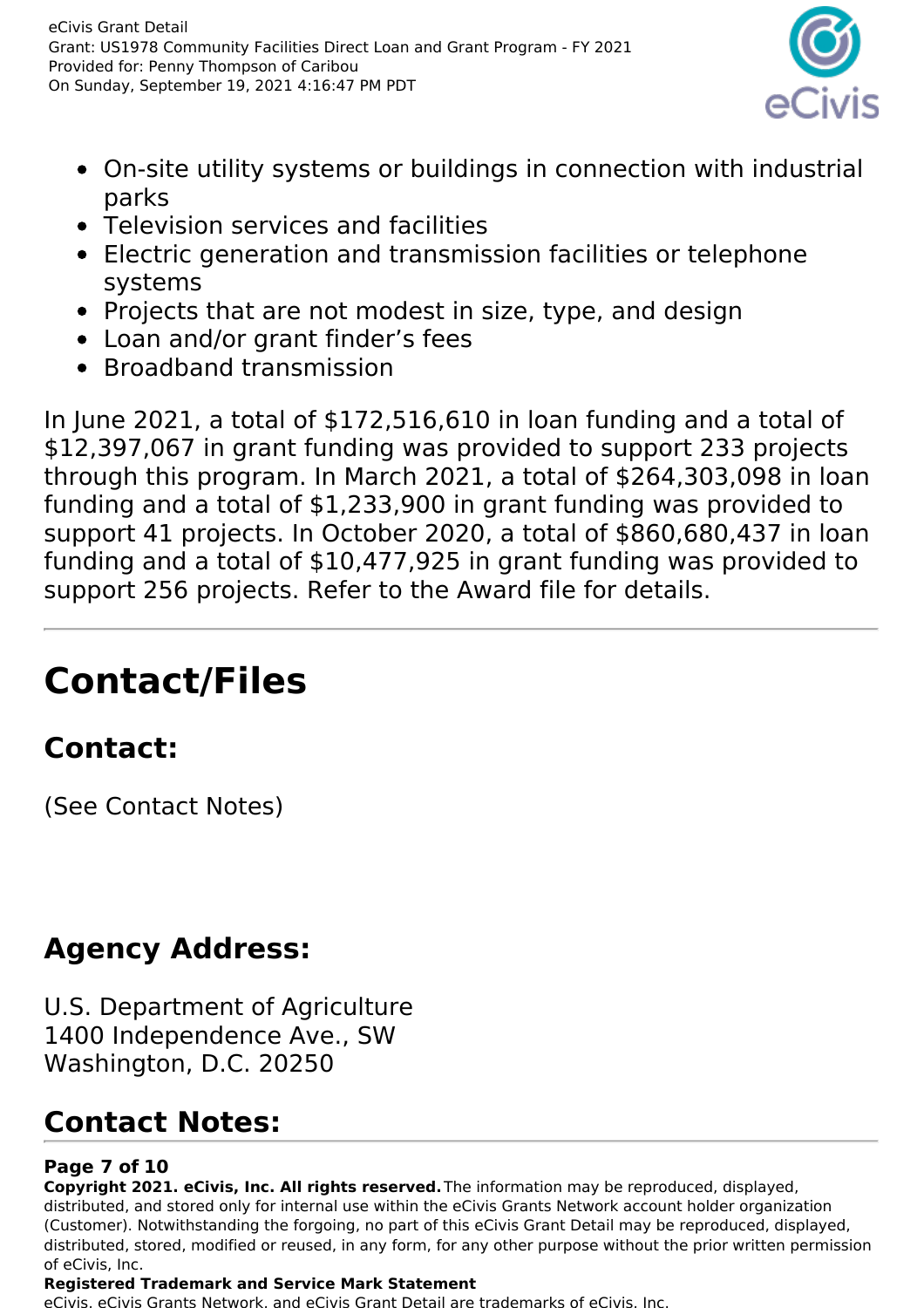

- On-site utility systems or buildings in connection with industrial parks
- Television services and facilities
- Electric generation and transmission facilities or telephone systems
- Projects that are not modest in size, type, and design
- Loan and/or grant finder's fees
- Broadband transmission

In June 2021, a total of \$172,516,610 in loan funding and a total of \$12,397,067 in grant funding was provided to support 233 projects through this program. In March 2021, a total of \$264,303,098 in loan funding and a total of \$1,233,900 in grant funding was provided to support 41 projects. In October 2020, a total of \$860,680,437 in loan funding and a total of \$10,477,925 in grant funding was provided to support 256 projects. Refer to the Award file for details.

# **Contact/Files**

### **Contact:**

(See Contact Notes)

## **Agency Address:**

U.S. Department of Agriculture 1400 Independence Ave., SW Washington, D.C. 20250

### **Contact Notes:**

#### **Page 7 of 10**

**Copyright 2021. eCivis, Inc. All rights reserved.**The information may be reproduced, displayed, distributed, and stored only for internal use within the eCivis Grants Network account holder organization (Customer). Notwithstanding the forgoing, no part of this eCivis Grant Detail may be reproduced, displayed, distributed, stored, modified or reused, in any form, for any other purpose without the prior written permission of eCivis, Inc.

#### **Registered Trademark and Service Mark Statement**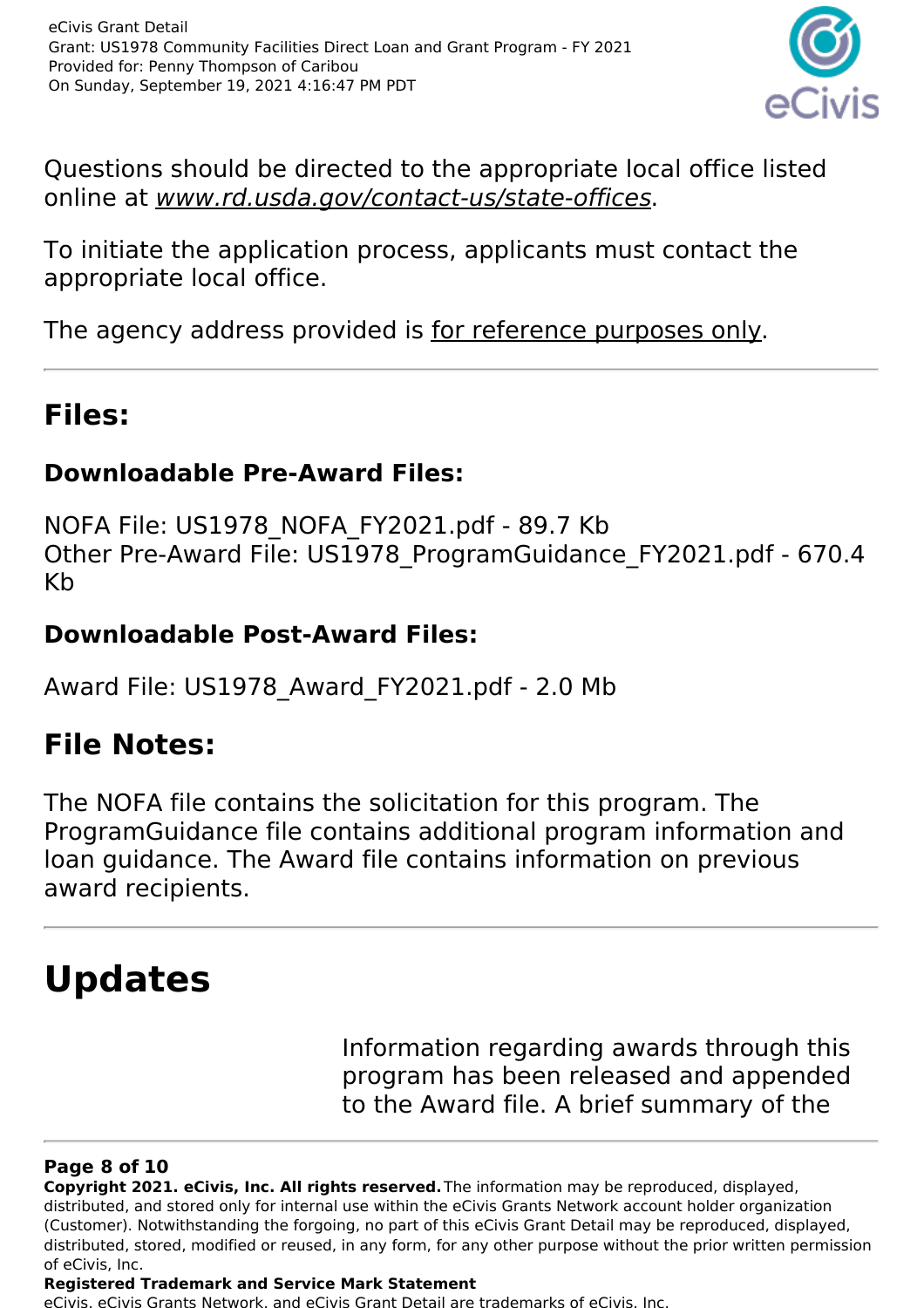

Questions should be directed to the appropriate local office listed online at www.rd.usda.gov/contact-us/state-offices.

To initiate the application process, applicants must contact the appropriate local office.

The agency address provided is for reference purposes only.

### **Files:**

### **Downloadable Pre-Award Files:**

NOFA File: US1978\_NOFA\_FY2021.pdf - 89.7 Kb Other Pre-Award File: US1978 ProgramGuidance FY2021.pdf - 670.4 Kb

### **Downloadable Post-Award Files:**

Award File: US1978\_Award\_FY2021.pdf - 2.0 Mb

### **File Notes:**

The NOFA file contains the solicitation for this program. The ProgramGuidance file contains additional program information and loan guidance. The Award file contains information on previous award recipients.

# **Updates**

Information regarding awards through this program has been released and appended to the Award file. A brief summary of the

#### **Page 8 of 10**

**Copyright 2021. eCivis, Inc. All rights reserved.**The information may be reproduced, displayed, distributed, and stored only for internal use within the eCivis Grants Network account holder organization (Customer). Notwithstanding the forgoing, no part of this eCivis Grant Detail may be reproduced, displayed, distributed, stored, modified or reused, in any form, for any other purpose without the prior written permission of eCivis, Inc.

#### **Registered Trademark and Service Mark Statement**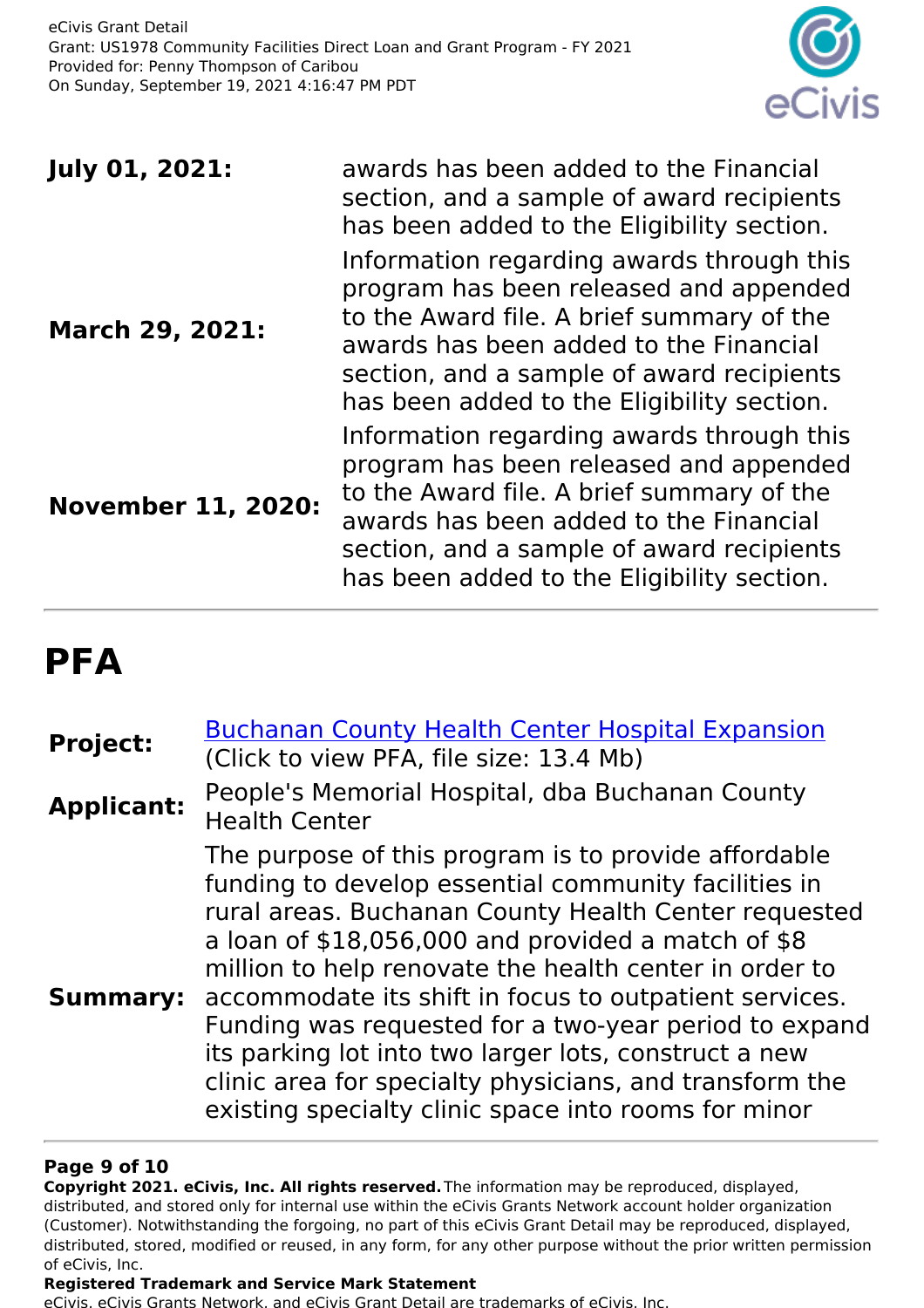

| <b>July 01, 2021:</b>     | awards has been added to the Financial<br>section, and a sample of award recipients<br>has been added to the Eligibility section.                                                                                                                                     |
|---------------------------|-----------------------------------------------------------------------------------------------------------------------------------------------------------------------------------------------------------------------------------------------------------------------|
| <b>March 29, 2021:</b>    | Information regarding awards through this<br>program has been released and appended<br>to the Award file. A brief summary of the<br>awards has been added to the Financial<br>section, and a sample of award recipients<br>has been added to the Eligibility section. |
| <b>November 11, 2020:</b> | Information regarding awards through this<br>program has been released and appended<br>to the Award file. A brief summary of the<br>awards has been added to the Financial<br>section, and a sample of award recipients<br>has been added to the Eligibility section. |

## **PFA**

| <b>Project:</b>   | <b>Buchanan County Health Center Hospital Expansion</b><br>(Click to view PFA, file size: 13.4 Mb)                                                                                                                                                                                                                                                                                                                                                                                                                                                                                                    |
|-------------------|-------------------------------------------------------------------------------------------------------------------------------------------------------------------------------------------------------------------------------------------------------------------------------------------------------------------------------------------------------------------------------------------------------------------------------------------------------------------------------------------------------------------------------------------------------------------------------------------------------|
| <b>Applicant:</b> | People's Memorial Hospital, dba Buchanan County<br><b>Health Center</b>                                                                                                                                                                                                                                                                                                                                                                                                                                                                                                                               |
|                   | The purpose of this program is to provide affordable<br>funding to develop essential community facilities in<br>rural areas. Buchanan County Health Center requested<br>a loan of $$18,056,000$ and provided a match of $$8$<br>million to help renovate the health center in order to<br><b>Summary:</b> accommodate its shift in focus to outpatient services.<br>Funding was requested for a two-year period to expand<br>its parking lot into two larger lots, construct a new<br>clinic area for specialty physicians, and transform the<br>existing specialty clinic space into rooms for minor |

#### **Page 9 of 10**

**Copyright 2021. eCivis, Inc. All rights reserved.**The information may be reproduced, displayed, distributed, and stored only for internal use within the eCivis Grants Network account holder organization (Customer). Notwithstanding the forgoing, no part of this eCivis Grant Detail may be reproduced, displayed, distributed, stored, modified or reused, in any form, for any other purpose without the prior written permission of eCivis, Inc.

#### **Registered Trademark and Service Mark Statement**